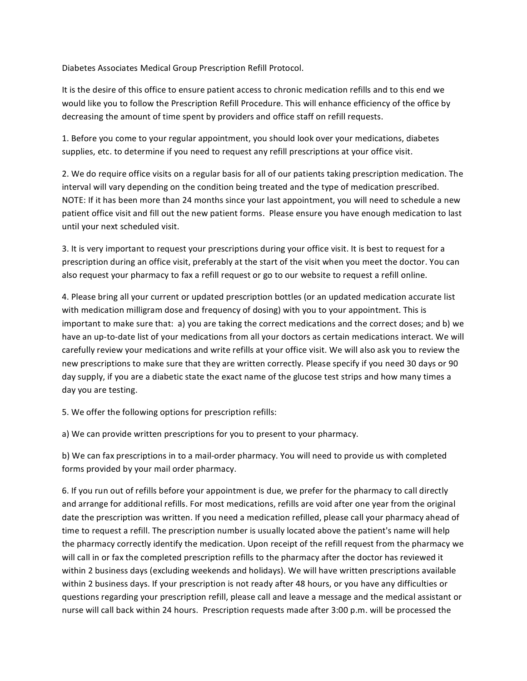Diabetes Associates Medical Group Prescription Refill Protocol.

It is the desire of this office to ensure patient access to chronic medication refills and to this end we would like you to follow the Prescription Refill Procedure. This will enhance efficiency of the office by decreasing the amount of time spent by providers and office staff on refill requests.

1. Before you come to your regular appointment, you should look over your medications, diabetes supplies, etc. to determine if you need to request any refill prescriptions at your office visit.

2. We do require office visits on a regular basis for all of our patients taking prescription medication. The interval will vary depending on the condition being treated and the type of medication prescribed. NOTE: If it has been more than 24 months since your last appointment, you will need to schedule a new patient office visit and fill out the new patient forms. Please ensure you have enough medication to last until your next scheduled visit.

3. It is very important to request your prescriptions during your office visit. It is best to request for a prescription during an office visit, preferably at the start of the visit when you meet the doctor. You can also request your pharmacy to fax a refill request or go to our website to request a refill online.

4. Please bring all your current or updated prescription bottles (or an updated medication accurate list with medication milligram dose and frequency of dosing) with you to your appointment. This is important to make sure that: (a) you are taking the correct medications and the correct doses; and b) we have an up-to-date list of your medications from all your doctors as certain medications interact. We will carefully review your medications and write refills at your office visit. We will also ask you to review the new prescriptions to make sure that they are written correctly. Please specify if you need 30 days or 90 day supply, if you are a diabetic state the exact name of the glucose test strips and how many times a day you are testing.

5. We offer the following options for prescription refills:

a) We can provide written prescriptions for you to present to your pharmacy.

b) We can fax prescriptions in to a mail-order pharmacy. You will need to provide us with completed forms provided by your mail order pharmacy.

6. If you run out of refills before your appointment is due, we prefer for the pharmacy to call directly and arrange for additional refills. For most medications, refills are void after one year from the original date the prescription was written. If you need a medication refilled, please call your pharmacy ahead of time to request a refill. The prescription number is usually located above the patient's name will help the pharmacy correctly identify the medication. Upon receipt of the refill request from the pharmacy we will call in or fax the completed prescription refills to the pharmacy after the doctor has reviewed it within 2 business days (excluding weekends and holidays). We will have written prescriptions available within 2 business days. If your prescription is not ready after 48 hours, or you have any difficulties or questions regarding your prescription refill, please call and leave a message and the medical assistant or nurse will call back within 24 hours. Prescription requests made after 3:00 p.m. will be processed the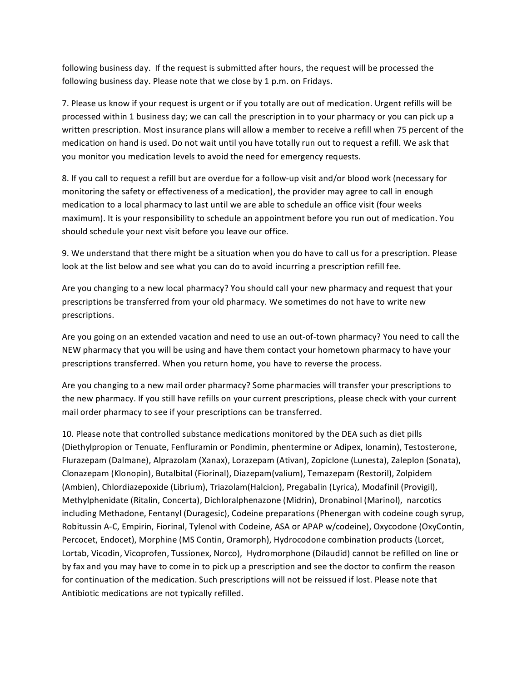following business day. If the request is submitted after hours, the request will be processed the following business day. Please note that we close by 1 p.m. on Fridays.

7. Please us know if your request is urgent or if you totally are out of medication. Urgent refills will be processed within 1 business day; we can call the prescription in to your pharmacy or you can pick up a written prescription. Most insurance plans will allow a member to receive a refill when 75 percent of the medication on hand is used. Do not wait until you have totally run out to request a refill. We ask that you monitor you medication levels to avoid the need for emergency requests.

8. If you call to request a refill but are overdue for a follow-up visit and/or blood work (necessary for monitoring the safety or effectiveness of a medication), the provider may agree to call in enough medication to a local pharmacy to last until we are able to schedule an office visit (four weeks maximum). It is your responsibility to schedule an appointment before you run out of medication. You should schedule your next visit before you leave our office.

9. We understand that there might be a situation when you do have to call us for a prescription. Please look at the list below and see what you can do to avoid incurring a prescription refill fee.

Are you changing to a new local pharmacy? You should call your new pharmacy and request that your prescriptions be transferred from your old pharmacy. We sometimes do not have to write new prescriptions.

Are you going on an extended vacation and need to use an out-of-town pharmacy? You need to call the NEW pharmacy that you will be using and have them contact your hometown pharmacy to have your prescriptions transferred. When you return home, you have to reverse the process.

Are you changing to a new mail order pharmacy? Some pharmacies will transfer your prescriptions to the new pharmacy. If you still have refills on your current prescriptions, please check with your current mail order pharmacy to see if your prescriptions can be transferred.

10. Please note that controlled substance medications monitored by the DEA such as diet pills (Diethylpropion or Tenuate, Fenfluramin or Pondimin, phentermine or Adipex, Ionamin), Testosterone, Flurazepam (Dalmane), Alprazolam (Xanax), Lorazepam (Ativan), Zopiclone (Lunesta), Zaleplon (Sonata), Clonazepam (Klonopin), Butalbital (Fiorinal), Diazepam(valium), Temazepam (Restoril), Zolpidem (Ambien), Chlordiazepoxide (Librium), Triazolam(Halcion), Pregabalin (Lyrica), Modafinil (Provigil), Methylphenidate (Ritalin, Concerta), Dichloralphenazone (Midrin), Dronabinol (Marinol), narcotics including Methadone, Fentanyl (Duragesic), Codeine preparations (Phenergan with codeine cough syrup, Robitussin A-C, Empirin, Fiorinal, Tylenol with Codeine, ASA or APAP w/codeine), Oxycodone (OxyContin, Percocet, Endocet), Morphine (MS Contin, Oramorph), Hydrocodone combination products (Lorcet, Lortab, Vicodin, Vicoprofen, Tussionex, Norco), Hydromorphone (Dilaudid) cannot be refilled on line or by fax and you may have to come in to pick up a prescription and see the doctor to confirm the reason for continuation of the medication. Such prescriptions will not be reissued if lost. Please note that Antibiotic medications are not typically refilled.